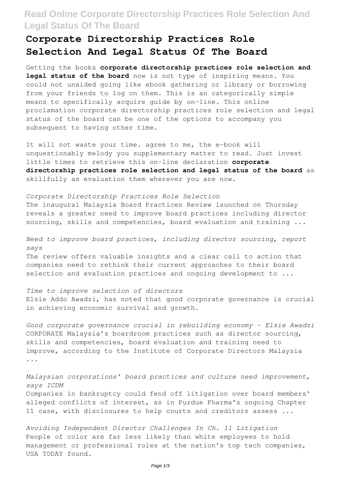## **Read Online Corporate Directorship Practices Role Selection And Legal Status Of The Board**

## **Corporate Directorship Practices Role Selection And Legal Status Of The Board**

Getting the books **corporate directorship practices role selection and legal status of the board** now is not type of inspiring means. You could not unaided going like ebook gathering or library or borrowing from your friends to log on them. This is an categorically simple means to specifically acquire guide by on-line. This online proclamation corporate directorship practices role selection and legal status of the board can be one of the options to accompany you subsequent to having other time.

It will not waste your time. agree to me, the e-book will unquestionably melody you supplementary matter to read. Just invest little times to retrieve this on-line declaration **corporate directorship practices role selection and legal status of the board** as skillfully as evaluation them wherever you are now.

*Corporate Directorship Practices Role Selection* The inaugural Malaysia Board Practices Review launched on Thursday reveals a greater need to improve board practices including director sourcing, skills and competencies, board evaluation and training ...

*Need to improve board practices, including director sourcing, report says* The review offers valuable insights and a clear call to action that companies need to rethink their current approaches to their board

selection and evaluation practices and ongoing development to  $\ldots$ 

*Time to improve selection of directors* Elsie Addo Awadzi, has noted that good corporate governance is crucial in achieving economic survival and growth.

*Good corporate governance crucial in rebuilding economy – Elsie Awadzi* CORPORATE Malaysia's boardroom practices such as director sourcing, skills and competencies, board evaluation and training need to improve, according to the Institute of Corporate Directors Malaysia ...

*Malaysian corporations' board practices and culture need improvement, says ICDM* Companies in bankruptcy could fend off litigation over board members' alleged conflicts of interest, as in Purdue Pharma's ongoing Chapter 11 case, with disclosures to help courts and creditors assess ...

*Avoiding Independent Director Challenges In Ch. 11 Litigation* People of color are far less likely than white employees to hold management or professional roles at the nation's top tech companies, USA TODAY found.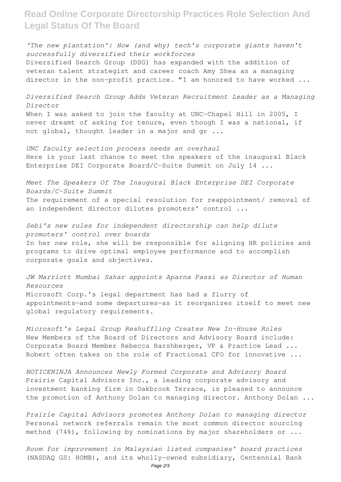**Read Online Corporate Directorship Practices Role Selection And Legal Status Of The Board**

*'The new plantation': How (and why) tech's corporate giants haven't successfully diversified their workforces* Diversified Search Group (DSG) has expanded with the addition of veteran talent strategist and career coach Amy Shea as a managing director in the non-profit practice. "I am honored to have worked ...

*Diversified Search Group Adds Veteran Recruitment Leader as a Managing Director* When I was asked to join the faculty at UNC-Chapel Hill in 2005, I never dreamt of asking for tenure, even though I was a national, if not global, thought leader in a major and gr ...

*UNC faculty selection process needs an overhaul* Here is your last chance to meet the speakers of the inaugural Black Enterprise DEI Corporate Board/C-Suite Summit on July 14 ...

*Meet The Speakers Of The Inaugural Black Enterprise DEI Corporate Boards/C-Suite Summit* The requirement of a special resolution for reappointment/ removal of an independent director dilutes promoters' control ...

*Sebi's new rules for independent directorship can help dilute promoters' control over boards* In her new role, she will be responsible for aligning HR policies and programs to drive optimal employee performance and to accomplish corporate goals and objectives.

*JW Marriott Mumbai Sahar appoints Aparna Passi as Director of Human Resources* Microsoft Corp.'s legal department has had a flurry of appointments—and some departures—as it reorganizes itself to meet new global regulatory requirements.

*Microsoft's Legal Group Reshuffling Creates New In-House Roles* New Members of the Board of Directors and Advisory Board include: Corporate Board Member Rebecca Harshberger, VP & Practice Lead ... Robert often takes on the role of Fractional CFO for innovative ...

*NOTICENINJA Announces Newly Formed Corporate and Advisory Board* Prairie Capital Advisors Inc., a leading corporate advisory and investment banking firm in Oakbrook Terrace, is pleased to announce the promotion of Anthony Dolan to managing director. Anthony Dolan ...

*Prairie Capital Advisors promotes Anthony Dolan to managing director* Personal network referrals remain the most common director sourcing method (74%), following by nominations by major shareholders or ...

*Room for improvement in Malaysian listed companies' board practices* (NASDAQ GS: HOMB), and its wholly-owned subsidiary, Centennial Bank